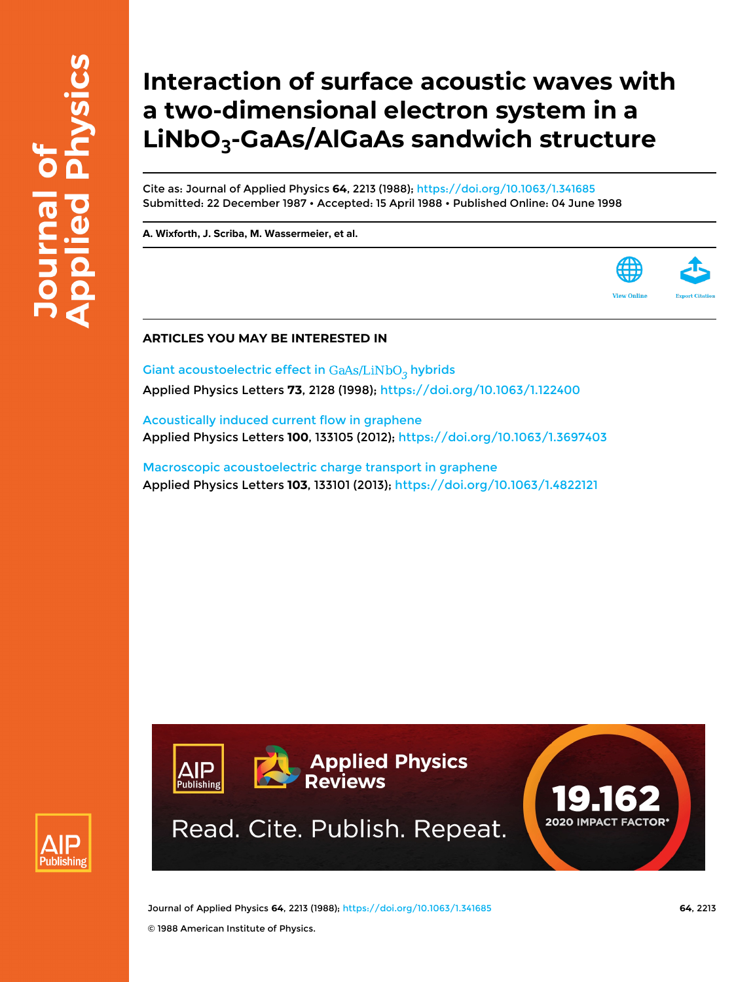## **Interaction of surface acoustic waves with a two-dimensional electron system in a LiNbO<sup>3</sup> -GaAs/AlGaAs sandwich structure**

Cite as: Journal of Applied Physics **64**, 2213 (1988);<https://doi.org/10.1063/1.341685> Submitted: 22 December 1987 • Accepted: 15 April 1988 • Published Online: 04 June 1998

**[A. Wixforth](https://aip.scitation.org/author/Wixforth%2C+A), [J. Scriba,](https://aip.scitation.org/author/Scriba%2C+J) [M. Wassermeier,](https://aip.scitation.org/author/Wassermeier%2C+M) et al.**

## **ARTICLES YOU MAY BE INTERESTED IN**

Giant acoustoelectric effect in  $GaAs/LiNbO<sub>3</sub>$  hybrids Applied Physics Letters **73**, 2128 (1998); <https://doi.org/10.1063/1.122400>

[Acoustically induced current flow in graphene](https://aip.scitation.org/doi/10.1063/1.3697403) Applied Physics Letters **100**, 133105 (2012); <https://doi.org/10.1063/1.3697403>

[Macroscopic acoustoelectric charge transport in graphene](https://aip.scitation.org/doi/10.1063/1.4822121) Applied Physics Letters **103**, 133101 (2013);<https://doi.org/10.1063/1.4822121>

**Applied Physics** 

**Reviews** 

Read. Cite. Publish. Repeat.



Journal of Applied Physics **64**, 2213 (1988); <https://doi.org/10.1063/1.341685> **64**, 2213

IP

**Publishing** 

**2020 IMPACT FACTOR**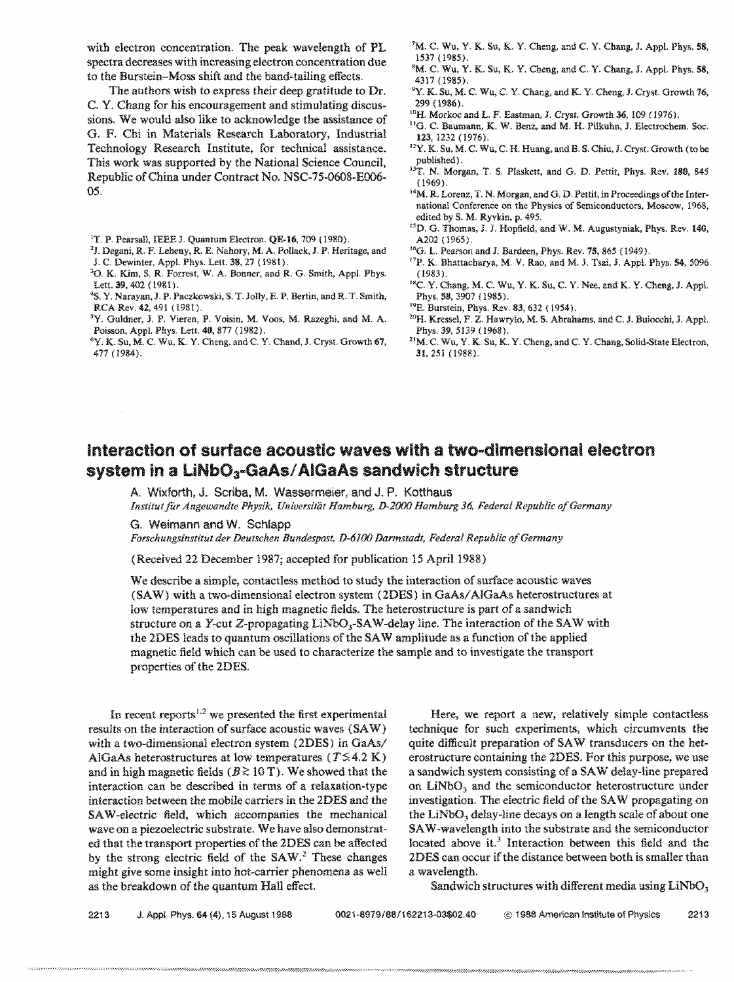with electron concentration. The peak wavelength of PL spectra decreases with increasing electron concentration due to the Burstein-Moss shift and the band-tailing effects.

The authors wish to express their deep gratitude to Dr. C. Y. Chang for his encouragement and stimulating discussions. We would also like to acknowledge the assistance of G. F. Chi in Materials Research Laboratory, Industrial Technology Research Institute, for technical assistance. This work was supported by the National Science Council, Republic of China under Contract No. NSC-75-0608-EOO6- 05.

'T. P. Pearsall, IEEE J. Quantum Electron. QE-16, 709 (1980).

- 2J. Degani, R. F. Leheny, R. E. Nahory, M. A. Pollack,]. P. Heritage, and J. C. Dewinter, Appl. Phys. Lett. 38, 27 (1981).
- '0. K. Kim, S. R. Forrest, W. A. Bonner, and R. G. Smith, Appl. Phys. Lett. 39, 402 (1981).
- <sup>4</sup>S. Y. Narayan, J. P. Paczkowski, S. T. Jolly, E. P. Bertin, and R. T. Smith, RCA Rev. 42, 491 (1981).
- 5y. Guldner, J. P. Vieren, P. Voisin, M. Voos, M. Razeghi, and M. A. Poisson, App!. Phys. Lett. 40, 877 (1982).
- 6y. K. Su, M. C. Wu, K. Y. Cheng. and C. Y. Chand, J. Cryst. Growth 67, 477 (1984).
- ${}^7M$ . C. Wu, Y. K. Su, K. Y. Cheng, and C. Y. Chang, J. Appl. Phys. 58, 1537 (1985).
- <sup>8</sup>M. C. Wu, Y. K. Su, K. Y. Cheng, and C. Y. Chang, J. Appl. Phys. 58, 4317 (1985).
- <sup>9</sup>Y. K. Su, M. C. Wu, C. Y. Chang, and K. Y. Cheng, J. Cryst. Growth 76, 299 (1986).
- <sup>10</sup>H. Morkoc and L. F. Eastman, J. Cryst. Growth 36, 109 (1976).
- "0. C. Baumann, K. W. Benz, and M. H. PiIkuhn, J. Electrochem. Soc. 123, 1232 (1976).
- <sup>12</sup>Y. K. Su, M. C. Wu, C. H. Huang, and B. S. Chiu, J. Cryst. Growth (to be published) .
- <sup>13</sup>T. N. Morgan, T. S. Plaskett, and G. D. Pettit, Phys. Rev. 180, 845 (1969).
- 14M. R. Lorenz, T. N. Morgan, and G. D. Pettit, in Proceedings of the International Conference on the Physics of Semiconductors, Moscow, 1968, edited by S. M. Ryvkin, p. 495.
- <sup>15</sup>D. G. Thomas, J. J. Hopfield, and W. M. Augustyniak, Phys. Rev. 140, A202 (1965).
- <sup>16</sup>G. L. Pearson and J. Bardeen, Phys. Rev. 75, 865 (1949).
- <sup>17</sup>P. K. Bhattacharya, M. V. Rao, and M. J. Tsai, J. Appl. Phys. 54, 5096 (1983 ).
- <sup>18</sup>C. Y. Chang, M. C. Wu, Y. K. Su, C. Y. Nee, and K. Y. Cheng, J. Appl. Phys. 58, 3907 (1985).
- 19E. Burstein, Phys. Rev. 83, 632 (1954).
- 2°H. Kresse!, F. Z. Hawry!o, M. S. Abrahams, and C. J. Buiocchi, J. Appl. Phys. 39, 5139 (1968).
- $^{21}{\rm M}$ . C. Wu, Y. K. Su, K. Y. Cheng, and C. Y. Chang, Solid-State Electron, 31,251 (1988).

## Interaction of surface acoustic waves with a two-dimensional electron system in a  $LiNbO<sub>3</sub>$ -GaAs/AIGaAs sandwich structure

A. Wixforth, J. Scriba, M. Wassermeier, and J. P. Kotthaus

*lnstitutfitr Angewandte Physik, Universitiit Hamburg, D-2000 Hamburg* 36, *Federal RepUblic o/Germany* 

G. Weimann and W. Schlapp

*Forschungsinstitut der Deutschen Bundespost, D-6}00 Darmstadt, Federal Republic a/Germany* 

(Received 22 December 1987; accepted for publication 15 April 1988)

We describe a simple, contactless method to study the interaction of surface acoustic waves (SAW) with a two-dimensional electron system (2DES) in GaAs/AlGaAs heterostructures at low temperatures and in high magnetic fields. The heterostructure is part of a sandwich structure on a Y-cut Z-propagating  $LiNbO<sub>3</sub>-SAW$ -delay line. The interaction of the SAW with the 2DES leads to quantum oscillations of the SAW amplitude as a function of the applied magnetic field which can be used to characterize the sampie and to investigate the transport properties of the 20ES.

In recent reports<sup> $1,2$ </sup> we presented the first experimental results on the interaction of surface acoustic waves (SAW) with a two-dimensional electron system  $(2DES)$  in  $GaAs/$ AlGaAs heterostructures at low temperatures ( $T \leq 4.2$  K) and in high magnetic fields ( $B \gtrsim 10$  T). We showed that the interaction can be described in terms of a relaxation-type interaction between the mobile carriers in the 2DES and the SA W -electric field, which accompanies the mechanical wave on a piezoelectric substrate. We have also demonstrated that the transport properties of the 2DES can be affected by the strong electric field of the SAW.<sup>2</sup> These changes might give some insight into hot-carrier phenomena as well as the breakdown of the quantum Hall effect.

Here. we report a new, relatively simple contactless technique for such experiments, which circumvents the quite difficult preparation of SA W transducers on the heterostructure containing the 2DES. For this purpose, we use a sandwich system consisting of a SAW delay-line prepared on  $LiNbO<sub>3</sub>$  and the semiconductor heterostructure under investigation. The electric field of the SAW propagating on the LiNbO<sub>3</sub> delay-line decays on a length scale of about one SA W -wavelength into the substrate and the semiconductor located above it.<sup>3</sup> Interaction between this field and the 2DES can occur if the distance between both is smaller than a wavelength.

Sandwich structures with different media using  $LiNbO<sub>3</sub>$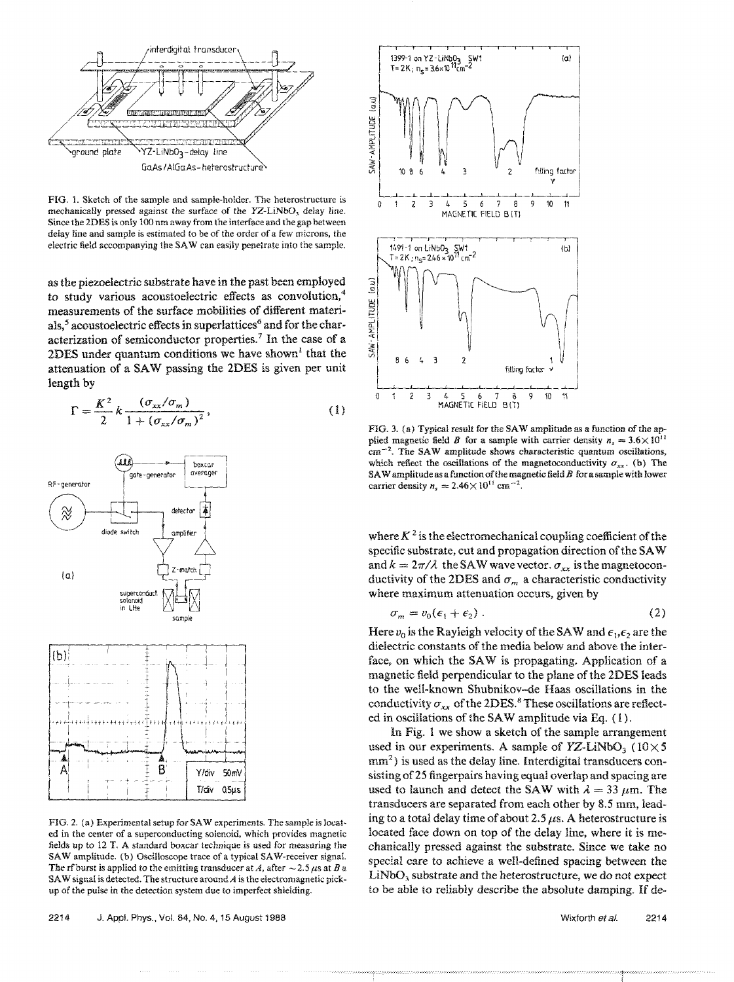

FIG. 1. Sketch of the sample and sample-holder. The heterostructure is mechanically pressed against the surface of the YZ-LiNbO, delay line. Since the 2DES is only 100 nrn away from the interface and the gap between delay line and sample is estimated to be of the order of a few microns, the electric field accompanying the SA W can easily penetrate into the sample.

as the piezoelectric substrate have in the past been employed to study various acoustoelectric effects as convolution, $4$ measurements of the surface mobilities of different materials,<sup>5</sup> acoustoelectric effects in superlattices<sup>6</sup> and for the characterization of semiconductor properties.<sup>7</sup> In the case of a 2DES under quantum conditions we have shown<sup> $t$ </sup> that the attenuation of a SAW passing the 2DES is given per unit length by

$$
\Gamma = \frac{K^2}{2} k \frac{(\sigma_{xx}/\sigma_m)}{1 + (\sigma_{xx}/\sigma_m)^2},
$$
\n(1)



FIG. 2. (a) Experimental setup for SAW experiments. The sample is locat· ed in the center of a superconducting solenoid. which provides magnetic fields up to 12 T. A standard boxcar technique is used for measuring the SAW amplitude. (b) Oscilloscope trace of a typical SAW-receiver signal. The rf burst is applied to the emitting transducer at *A*, after  $\sim$  2.5  $\mu$ s at *B* a SAW signal is detected. The structure around  $A$  is the electromagnetic pickup of the pulse in the detection system due to imperfect shielding.



FIG. 3. (a) Typical result for the SAW amplitude as a function of the applied magnetic field *B* for a sample with carrier density  $n_s = 3.6 \times 10^{11}$  $cm^{-2}$ . The SAW amplitude shows characteristic quantum oscillations, which reflect the oscillations of the magnetoconductivity  $\sigma_{xx}$ . (b) The SAW amplitude as a function of the magnetic field  $B$  for a sample with lower carrier density  $n_s = 2.46 \times 10^{11}$  cm<sup>-2</sup>.

where  $K^2$  is the electromechanical coupling coefficient of the specific substrate, cut and propagation direction of the SA W and  $k = 2\pi/\lambda$  the SAW wave vector.  $\sigma_{xx}$  is the magnetoconductivity of the 2DES and  $\sigma_m$  a characteristic conductivity where maximum attenuation occurs, given by

$$
\sigma_m = v_0(\epsilon_1 + \epsilon_2) \,. \tag{2}
$$

Here  $v_0$  is the Rayleigh velocity of the SAW and  $\epsilon_1, \epsilon_2$  are the dielectric constants of the media below and above the interface, on which the SAW is propagating. Application of a magnetic field perpendicular to the plane of the 2DES leads to the well-known Shubnikov-de Haas oscillations in the conductivity  $\sigma_{xx}$  of the 2DES.<sup>8</sup> These oscillations are reflected in oscillations of the SAW amplitude via Eq. (1).

In Fig. 1 we show a sketch of the sample arrangement used in our experiments. A sample of  $YZ-LiNbO<sub>3</sub>$  ( $10\times5$ )  $mm<sup>2</sup>$ ) is used as the delay line. Interdigital transducers consisting of 25 fingerpairs having equal overlap and spacing are used to launch and detect the SAW with  $\lambda = 33 \mu$ m. The transducers are separated from each other by 8.S mm, leading to a total delay time of about 2.5  $\mu$ s. A heterostructure is located face down on top of the delay line, where it is mechanically pressed against the substrate. Since we take no special care to achieve a well-defined spacing between the LiNbO, substrate and the heterostructure, we do not expect to be able to reliably describe the absolute damping. If de-

Wixforth et al. 2214